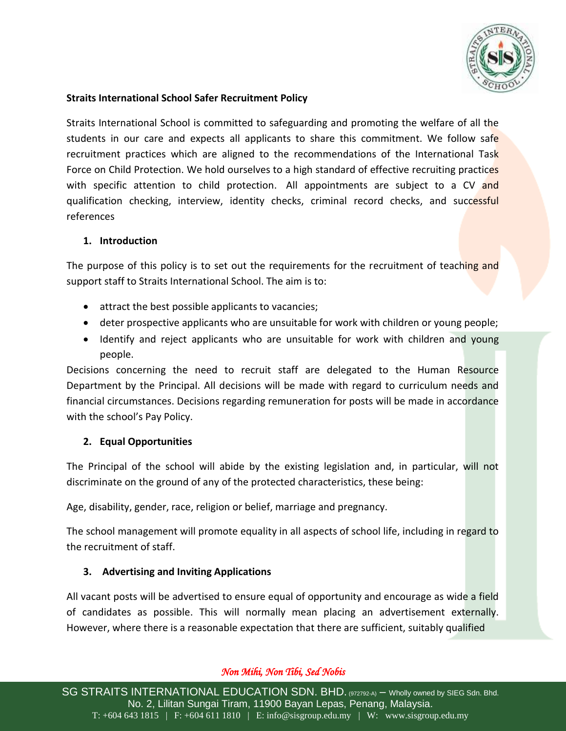

### **Straits International School Safer Recruitment Policy**

Straits International School is committed to safeguarding and promoting the welfare of all the students in our care and expects all applicants to share this commitment. We follow safe recruitment practices which are aligned to the recommendations of the International Task Force on Child Protection. We hold ourselves to a high standard of effective recruiting practices with specific attention to child protection. All appointments are subject to a CV and qualification checking, interview, identity checks, criminal record checks, and successful references

### **1. Introduction**

The purpose of this policy is to set out the requirements for the recruitment of teaching and support staff to Straits International School. The aim is to:

- attract the best possible applicants to vacancies;
- deter prospective applicants who are unsuitable for work with children or young people;
- Identify and reject applicants who are unsuitable for work with children and young people.

Decisions concerning the need to recruit staff are delegated to the Human Resource Department by the Principal. All decisions will be made with regard to curriculum needs and financial circumstances. Decisions regarding remuneration for posts will be made in accordance with the school's Pay Policy.

### **2. Equal Opportunities**

The Principal of the school will abide by the existing legislation and, in particular, will not discriminate on the ground of any of the protected characteristics, these being:

Age, disability, gender, race, religion or belief, marriage and pregnancy.

The school management will promote equality in all aspects of school life, including in regard to the recruitment of staff.

### **3. Advertising and Inviting Applications**

All vacant posts will be advertised to ensure equal of opportunity and encourage as wide a field of candidates as possible. This will normally mean placing an advertisement externally. However, where there is a reasonable expectation that there are sufficient, suitably qualified

# *Non Mihi, Non Tibi, Sed Nobis*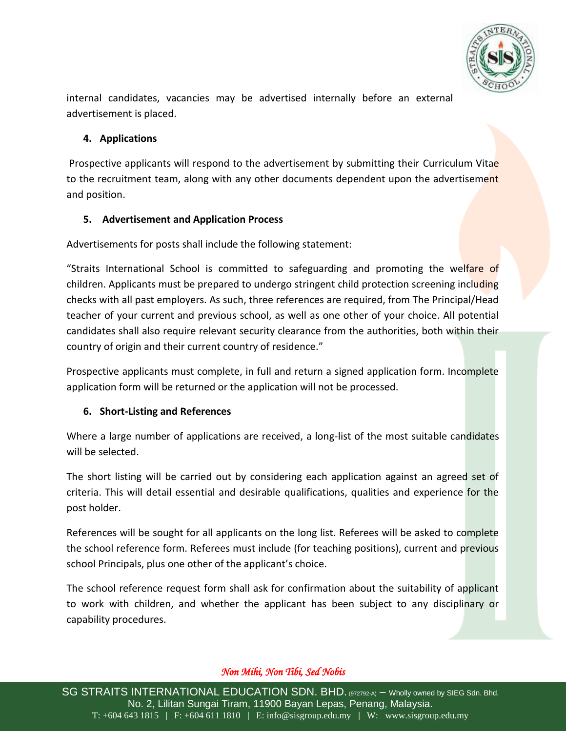

internal candidates, vacancies may be advertised internally before an external advertisement is placed.

### **4. Applications**

Prospective applicants will respond to the advertisement by submitting their Curriculum Vitae to the recruitment team, along with any other documents dependent upon the advertisement and position.

## **5. Advertisement and Application Process**

Advertisements for posts shall include the following statement:

"Straits International School is committed to safeguarding and promoting the welfare of children. Applicants must be prepared to undergo stringent child protection screening including checks with all past employers. As such, three references are required, from The Principal/Head teacher of your current and previous school, as well as one other of your choice. All potential candidates shall also require relevant security clearance from the authorities, both within their country of origin and their current country of residence."

Prospective applicants must complete, in full and return a signed application form. Incomplete application form will be returned or the application will not be processed.

# **6. Short-Listing and References**

Where a large number of applications are received, a long-list of the most suitable candidates will be selected.

The short listing will be carried out by considering each application against an agreed set of criteria. This will detail essential and desirable qualifications, qualities and experience for the post holder.

References will be sought for all applicants on the long list. Referees will be asked to complete the school reference form. Referees must include (for teaching positions), current and previous school Principals, plus one other of the applicant's choice.

The school reference request form shall ask for confirmation about the suitability of applicant to work with children, and whether the applicant has been subject to any disciplinary or capability procedures.

# *Non Mihi, Non Tibi, Sed Nobis*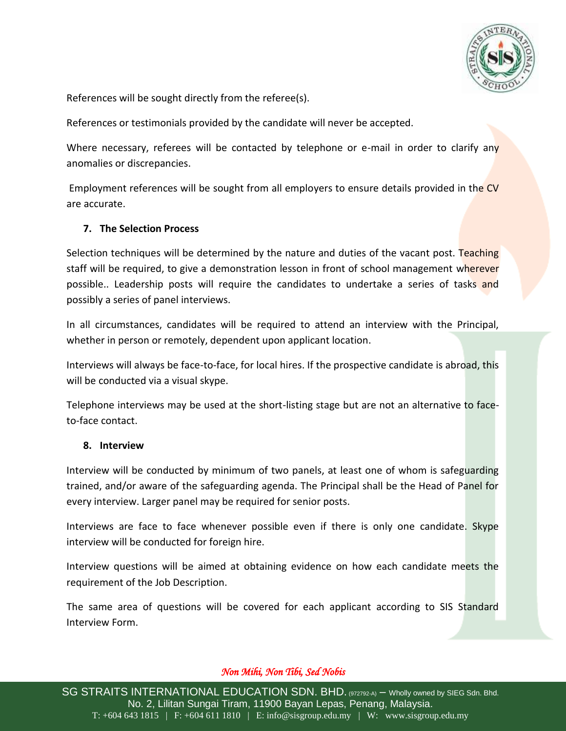

References will be sought directly from the referee(s).

References or testimonials provided by the candidate will never be accepted.

Where necessary, referees will be contacted by telephone or e-mail in order to clarify any anomalies or discrepancies.

Employment references will be sought from all employers to ensure details provided in the CV are accurate.

### **7. The Selection Process**

Selection techniques will be determined by the nature and duties of the vacant post. Teaching staff will be required, to give a demonstration lesson in front of school management wherever possible.. Leadership posts will require the candidates to undertake a series of tasks and possibly a series of panel interviews.

In all circumstances, candidates will be required to attend an interview with the Principal, whether in person or remotely, dependent upon applicant location.

Interviews will always be face-to-face, for local hires. If the prospective candidate is abroad, this will be conducted via a visual skype.

Telephone interviews may be used at the short-listing stage but are not an alternative to faceto-face contact.

#### **8. Interview**

Interview will be conducted by minimum of two panels, at least one of whom is safeguarding trained, and/or aware of the safeguarding agenda. The Principal shall be the Head of Panel for every interview. Larger panel may be required for senior posts.

Interviews are face to face whenever possible even if there is only one candidate. Skype interview will be conducted for foreign hire.

Interview questions will be aimed at obtaining evidence on how each candidate meets the requirement of the Job Description.

The same area of questions will be covered for each applicant according to SIS Standard Interview Form.

### *Non Mihi, Non Tibi, Sed Nobis*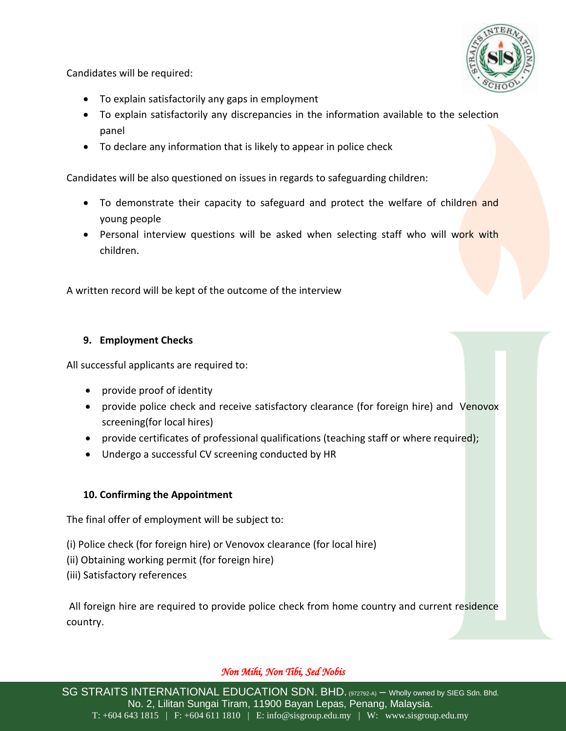

Candidates will be required:

- To explain satisfactorily any gaps in employment
- To explain satisfactorily any discrepancies in the information available to the selection panel
- To declare any information that is likely to appear in police check

Candidates will be also questioned on issues in regards to safeguarding children:

- To demonstrate their capacity to safeguard and protect the welfare of children and young people
- Personal interview questions will be asked when selecting staff who will work with children.

A written record will be kept of the outcome of the interview

## **9. Employment Checks**

All successful applicants are required to:

- provide proof of identity
- provide police check and receive satisfactory clearance (for foreign hire) and Venovox screening(for local hires)
- provide certificates of professional qualifications (teaching staff or where required);
- Undergo a successful CV screening conducted by HR

# **10. Confirming the Appointment**

The final offer of employment will be subject to:

- (i) Police check (for foreign hire) or Venovox clearance (for local hire)
- (ii) Obtaining working permit (for foreign hire)
- (iii) Satisfactory references

All foreign hire are required to provide police check from home country and current residence country.

# *Non Mihi, Non Tibi, Sed Nobis*